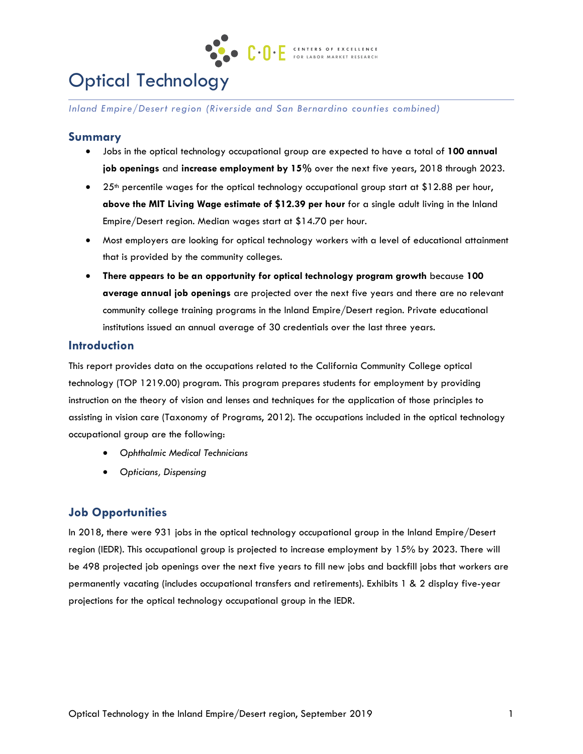

# Optical Technology

*Inland Empire/Desert region (Riverside and San Bernardino counties combined)*

## **Summary**

- Jobs in the optical technology occupational group are expected to have a total of **100 annual job openings** and **increase employment by 15%** over the next five years, 2018 through 2023.
- 25<sup>th</sup> percentile wages for the optical technology occupational group start at \$12.88 per hour, **above the MIT Living Wage estimate of \$12.39 per hour** for a single adult living in the Inland Empire/Desert region. Median wages start at \$14.70 per hour.
- Most employers are looking for optical technology workers with a level of educational attainment that is provided by the community colleges.
- **There appears to be an opportunity for optical technology program growth** because **100 average annual job openings** are projected over the next five years and there are no relevant community college training programs in the Inland Empire/Desert region. Private educational institutions issued an annual average of 30 credentials over the last three years.

## **Introduction**

This report provides data on the occupations related to the California Community College optical technology (TOP 1219.00) program. This program prepares students for employment by providing instruction on the theory of vision and lenses and techniques for the application of those principles to assisting in vision care (Taxonomy of Programs, 2012). The occupations included in the optical technology occupational group are the following:

- *Ophthalmic Medical Technicians*
- *Opticians, Dispensing*

# **Job Opportunities**

In 2018, there were 931 jobs in the optical technology occupational group in the Inland Empire/Desert region (IEDR). This occupational group is projected to increase employment by 15% by 2023. There will be 498 projected job openings over the next five years to fill new jobs and backfill jobs that workers are permanently vacating (includes occupational transfers and retirements). Exhibits 1 & 2 display five-year projections for the optical technology occupational group in the IEDR.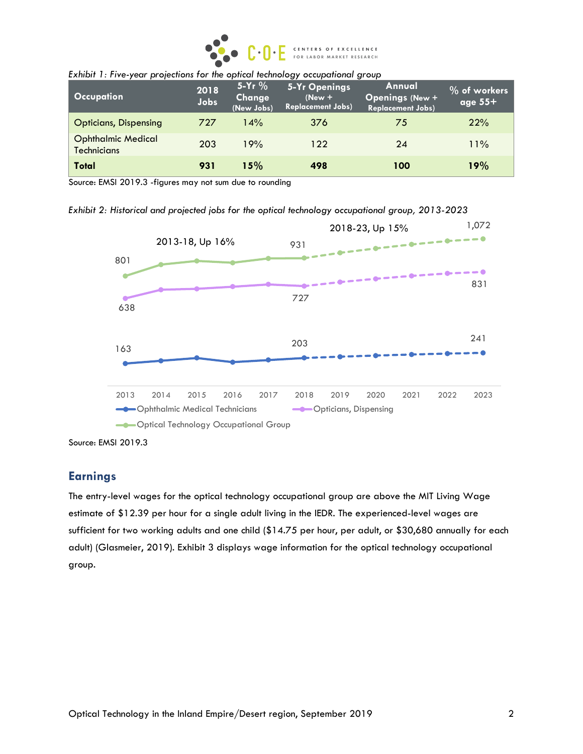

| <b>Occupation</b>                               | 2018<br>Jobs | 5-Yr $%$<br>Change<br>(New Jobs) | <b>5-Yr Openings</b><br>$(New +$<br><b>Replacement Jobs)</b> | Annual<br><b>Openings (New +</b><br><b>Replacement Jobs)</b> | % of workers<br>age $55+$ |
|-------------------------------------------------|--------------|----------------------------------|--------------------------------------------------------------|--------------------------------------------------------------|---------------------------|
| <b>Opticians, Dispensing</b>                    | 727          | 14%                              | 376                                                          | 75                                                           | 22%                       |
| <b>Ophthalmic Medical</b><br><b>Technicians</b> | 203          | 19%                              | 122                                                          | 24                                                           | 11%                       |
| Total                                           | 931          | 15%                              | 498                                                          | 100                                                          | 19%                       |

|  | Exhibit 1: Five-year projections for the optical technology occupational group |  |  |
|--|--------------------------------------------------------------------------------|--|--|
|  |                                                                                |  |  |

Source: EMSI 2019.3 -figures may not sum due to rounding

*Exhibit 2: Historical and projected jobs for the optical technology occupational group, 2013-2023*



Source: EMSI 2019.3

## **Earnings**

The entry-level wages for the optical technology occupational group are above the MIT Living Wage estimate of \$12.39 per hour for a single adult living in the IEDR. The experienced-level wages are sufficient for two working adults and one child (\$14.75 per hour, per adult, or \$30,680 annually for each adult) (Glasmeier, 2019). Exhibit 3 displays wage information for the optical technology occupational group.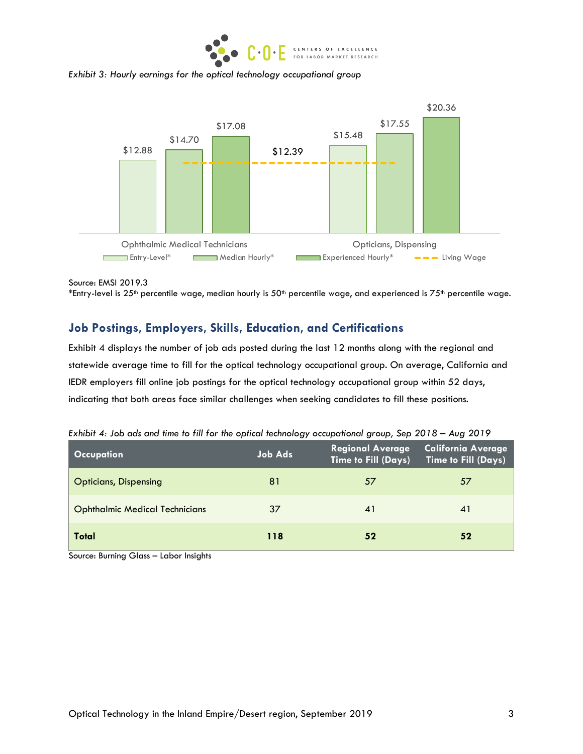

*Exhibit 3: Hourly earnings for the optical technology occupational group*



Source: EMSI 2019.3

# **Job Postings, Employers, Skills, Education, and Certifications**

Exhibit 4 displays the number of job ads posted during the last 12 months along with the regional and statewide average time to fill for the optical technology occupational group. On average, California and IEDR employers fill online job postings for the optical technology occupational group within 52 days, indicating that both areas face similar challenges when seeking candidates to fill these positions.

| Occupation                            | <b>Job Ads</b> | Regional Average<br>Time to Fill (Days) | <b>California Average</b><br><b>Time to Fill (Days)</b> |
|---------------------------------------|----------------|-----------------------------------------|---------------------------------------------------------|
| <b>Opticians, Dispensing</b>          | 81             | 57                                      | 57                                                      |
| <b>Ophthalmic Medical Technicians</b> | 37             | 41                                      | 41                                                      |
| Total                                 | 118            | 52                                      | 52                                                      |

*Exhibit 4: Job ads and time to fill for the optical technology occupational group, Sep 2018 – Aug 2019*

Source: Burning Glass – Labor Insights

<sup>\*</sup>Entry-level is 25<sup>th</sup> percentile wage, median hourly is 50<sup>th</sup> percentile wage, and experienced is 75<sup>th</sup> percentile wage.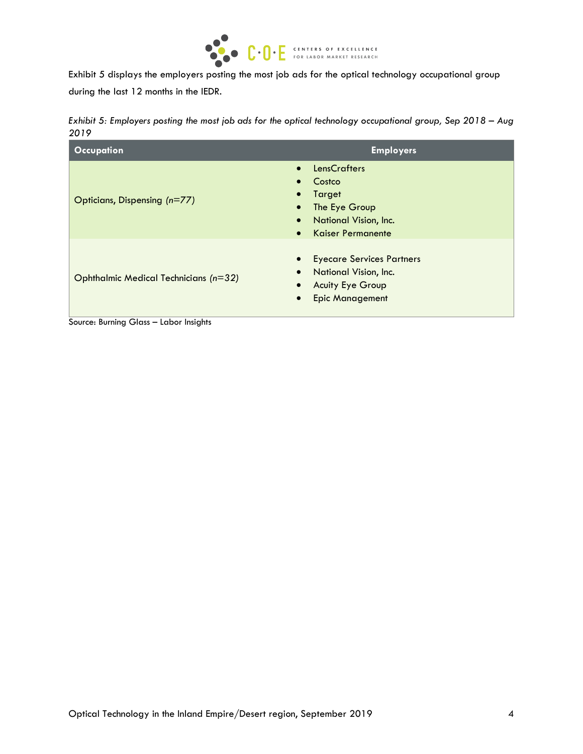

Exhibit 5 displays the employers posting the most job ads for the optical technology occupational group during the last 12 months in the IEDR.

| Exhibit 5: Employers posting the most job ads for the optical technology occupational group, Sep 2018 – Aug |  |  |
|-------------------------------------------------------------------------------------------------------------|--|--|
| 2019                                                                                                        |  |  |

| <b>Occupation</b>                     | <b>Employers</b>                                                                                                                                                                            |
|---------------------------------------|---------------------------------------------------------------------------------------------------------------------------------------------------------------------------------------------|
| Opticians, Dispensing (n=77)          | <b>LensCrafters</b><br>$\bullet$<br>Costco<br>$\bullet$<br>Target<br>$\bullet$<br>The Eye Group<br>$\bullet$<br>National Vision, Inc.<br>$\bullet$<br><b>Kaiser Permanente</b><br>$\bullet$ |
| Ophthalmic Medical Technicians (n=32) | <b>Eyecare Services Partners</b><br>$\bullet$<br>National Vision, Inc.<br>$\bullet$<br><b>Acuity Eye Group</b><br>$\bullet$<br><b>Epic Management</b><br>$\bullet$                          |

Source: Burning Glass – Labor Insights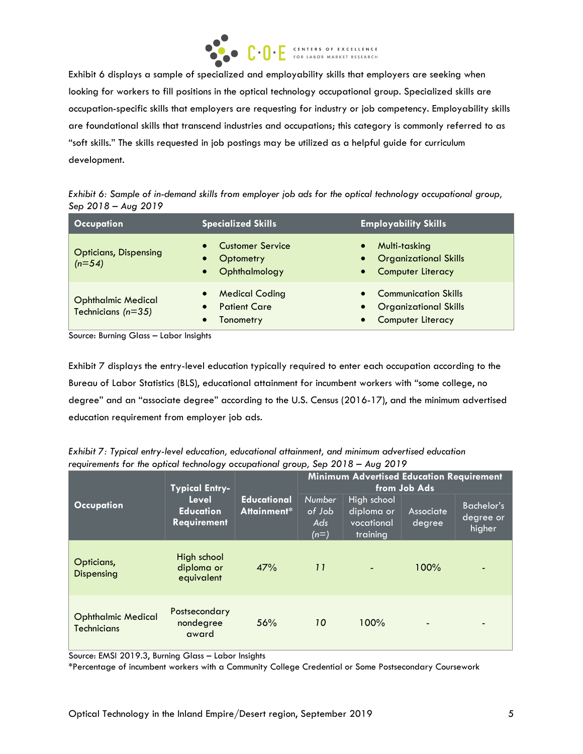

Exhibit 6 displays a sample of specialized and employability skills that employers are seeking when looking for workers to fill positions in the optical technology occupational group. Specialized skills are occupation-specific skills that employers are requesting for industry or job competency. Employability skills are foundational skills that transcend industries and occupations; this category is commonly referred to as "soft skills." The skills requested in job postings may be utilized as a helpful guide for curriculum development.

*Exhibit 6: Sample of in-demand skills from employer job ads for the optical technology occupational group, Sep 2018 – Aug 2019*

| <b>Occupation</b>                                 | <b>Specialized Skills</b>                                          | <b>Employability Skills</b>                                                                                                    |  |  |
|---------------------------------------------------|--------------------------------------------------------------------|--------------------------------------------------------------------------------------------------------------------------------|--|--|
| <b>Opticians, Dispensing</b><br>$(n=54)$          | <b>Customer Service</b><br>Optometry<br>Ophthalmology<br>$\bullet$ | Multi-tasking<br>$\bullet$<br><b>Organizational Skills</b><br>$\bullet$<br><b>Computer Literacy</b><br>$\bullet$               |  |  |
| <b>Ophthalmic Medical</b><br>Technicians $(n=35)$ | <b>Medical Coding</b><br><b>Patient Care</b><br>Tonometry          | <b>Communication Skills</b><br>$\bullet$<br><b>Organizational Skills</b><br>$\bullet$<br><b>Computer Literacy</b><br>$\bullet$ |  |  |

Source: Burning Glass – Labor Insights

Exhibit 7 displays the entry-level education typically required to enter each occupation according to the Bureau of Labor Statistics (BLS), educational attainment for incumbent workers with "some college, no degree" and an "associate degree" according to the U.S. Census (2016-17), and the minimum advertised education requirement from employer job ads.

|                                                 | <b>Typical Entry-</b>                           |                                   |                                          | <b>Minimum Advertised Education Requirement</b>     |                     |                                          |
|-------------------------------------------------|-------------------------------------------------|-----------------------------------|------------------------------------------|-----------------------------------------------------|---------------------|------------------------------------------|
| <b>Occupation</b>                               | Level<br><b>Education</b><br><b>Requirement</b> | <b>Educational</b><br>Attainment* | <b>Number</b><br>of Job<br>Ads<br>$(n=)$ | High school<br>diploma or<br>vocational<br>training | Associate<br>degree | <b>Bachelor's</b><br>degree or<br>higher |
| Opticians,<br>Dispensing                        | High school<br>diploma or<br>equivalent         | 47%                               | 11                                       |                                                     | 100%                | -                                        |
| <b>Ophthalmic Medical</b><br><b>Technicians</b> | Postsecondary<br>nondegree<br>award             | 56%                               | 10                                       | 100%                                                | ٠                   | $\blacksquare$                           |

*Exhibit 7: Typical entry-level education, educational attainment, and minimum advertised education requirements for the optical technology occupational group, Sep 2018 – Aug 2019*

Source: EMSI 2019.3, Burning Glass – Labor Insights

\*Percentage of incumbent workers with a Community College Credential or Some Postsecondary Coursework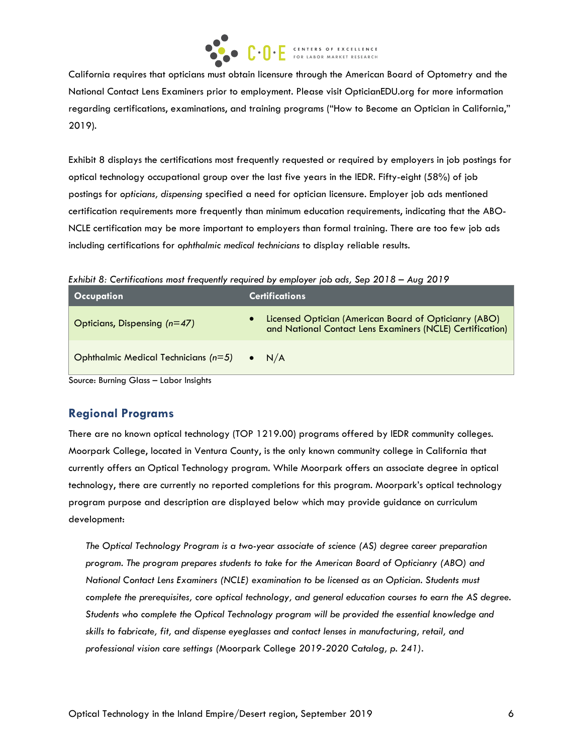

California requires that opticians must obtain licensure through the American Board of Optometry and the National Contact Lens Examiners prior to employment. Please visit OpticianEDU.org for more information regarding certifications, examinations, and training programs ("How to Become an Optician in California," 2019).

Exhibit 8 displays the certifications most frequently requested or required by employers in job postings for optical technology occupational group over the last five years in the IEDR. Fifty-eight (58%) of job postings for *opticians, dispensing* specified a need for optician licensure. Employer job ads mentioned certification requirements more frequently than minimum education requirements, indicating that the ABO-NCLE certification may be more important to employers than formal training. There are too few job ads including certifications for *ophthalmic medical technicians* to display reliable results.

*Exhibit 8: Certifications most frequently required by employer job ads, Sep 2018 – Aug 2019*

| Occupation                             | <b>Certifications</b>                                                                                                     |
|----------------------------------------|---------------------------------------------------------------------------------------------------------------------------|
| Opticians, Dispensing $(n=47)$         | <b>Licensed Optician (American Board of Opticianry (ABO)</b><br>and National Contact Lens Examiners (NCLE) Certification) |
| Ophthalmic Medical Technicians $(n=5)$ | $\bullet$ N/A                                                                                                             |

Source: Burning Glass – Labor Insights

# **Regional Programs**

There are no known optical technology (TOP 1219.00) programs offered by IEDR community colleges. Moorpark College, located in Ventura County, is the only known community college in California that currently offers an Optical Technology program. While Moorpark offers an associate degree in optical technology, there are currently no reported completions for this program. Moorpark's optical technology program purpose and description are displayed below which may provide guidance on curriculum development:

*The Optical Technology Program is a two-year associate of science (AS) degree career preparation program. The program prepares students to take for the American Board of Opticianry (ABO) and National Contact Lens Examiners (NCLE) examination to be licensed as an Optician. Students must complete the prerequisites, core optical technology, and general education courses to earn the AS degree. Students who complete the Optical Technology program will be provided the essential knowledge and skills to fabricate, fit, and dispense eyeglasses and contact lenses in manufacturing, retail, and professional vision care settings (*Moorpark College *2019-2020 Catalog, p. 241).*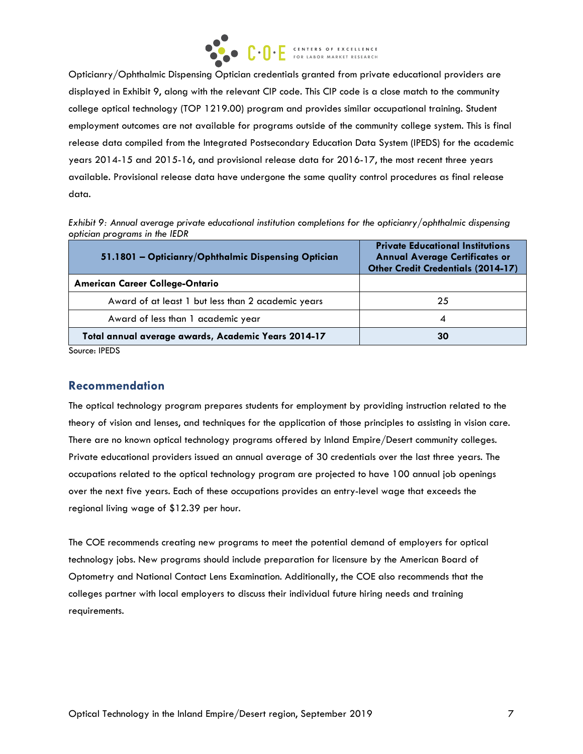

Opticianry/Ophthalmic Dispensing Optician credentials granted from private educational providers are displayed in Exhibit 9, along with the relevant CIP code. This CIP code is a close match to the community college optical technology (TOP 1219.00) program and provides similar occupational training. Student employment outcomes are not available for programs outside of the community college system. This is final release data compiled from the Integrated Postsecondary Education Data System (IPEDS) for the academic years 2014-15 and 2015-16, and provisional release data for 2016-17, the most recent three years available. Provisional release data have undergone the same quality control procedures as final release data.

*Exhibit 9: Annual average private educational institution completions for the opticianry/ophthalmic dispensing optician programs in the IEDR*

| 51.1801 - Opticianry/Ophthalmic Dispensing Optician | <b>Private Educational Institutions</b><br><b>Annual Average Certificates or</b><br><b>Other Credit Credentials (2014-17)</b> |
|-----------------------------------------------------|-------------------------------------------------------------------------------------------------------------------------------|
| <b>American Career College-Ontario</b>              |                                                                                                                               |
| Award of at least 1 but less than 2 academic years  | 25                                                                                                                            |
| Award of less than 1 academic year                  |                                                                                                                               |
| Total annual average awards, Academic Years 2014-17 | 30                                                                                                                            |

Source: IPEDS

## **Recommendation**

The optical technology program prepares students for employment by providing instruction related to the theory of vision and lenses, and techniques for the application of those principles to assisting in vision care. There are no known optical technology programs offered by Inland Empire/Desert community colleges. Private educational providers issued an annual average of 30 credentials over the last three years. The occupations related to the optical technology program are projected to have 100 annual job openings over the next five years. Each of these occupations provides an entry-level wage that exceeds the regional living wage of \$12.39 per hour.

The COE recommends creating new programs to meet the potential demand of employers for optical technology jobs. New programs should include preparation for licensure by the American Board of Optometry and National Contact Lens Examination. Additionally, the COE also recommends that the colleges partner with local employers to discuss their individual future hiring needs and training requirements.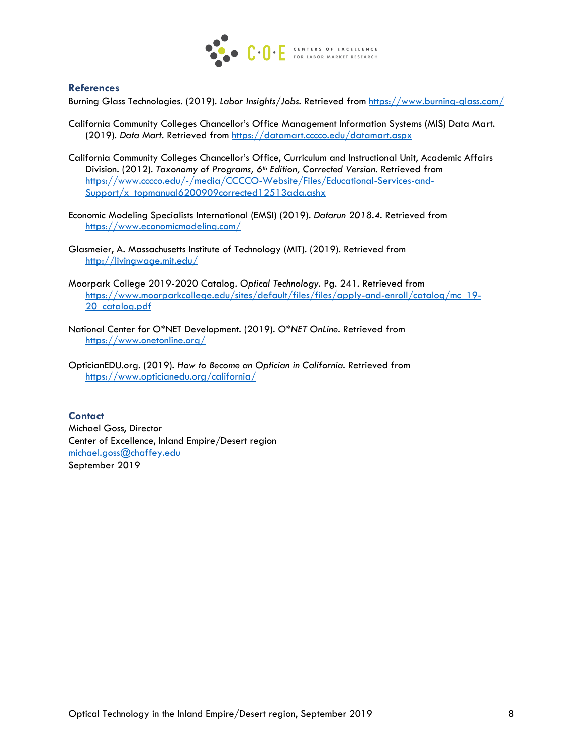

#### **References**

Burning Glass Technologies. (2019). *Labor Insights/Jobs.* Retrieved from https://www.burning-glass.com/

- California Community Colleges Chancellor's Office Management Information Systems (MIS) Data Mart. (2019). *Data Mart.* Retrieved from https://datamart.cccco.edu/datamart.aspx
- California Community Colleges Chancellor's Office, Curriculum and Instructional Unit, Academic Affairs Division. (2012). *Taxonomy of Programs, 6th Edition, Corrected Version.* Retrieved from https://www.cccco.edu/-/media/CCCCO-Website/Files/Educational-Services-and-Support/x\_topmanual6200909corrected12513ada.ashx
- Economic Modeling Specialists International (EMSI) (2019). *Datarun 2018.4.* Retrieved from https://www.economicmodeling.com/
- Glasmeier, A. Massachusetts Institute of Technology (MIT). (2019). Retrieved from http://livingwage.mit.edu/
- Moorpark College 2019-2020 Catalog. *Optical Technology.* Pg. 241. Retrieved from https://www.moorparkcollege.edu/sites/default/files/files/apply-and-enroll/catalog/mc\_19- 20 catalog.pdf
- National Center for O\*NET Development. (2019). *O\*NET OnLine.* Retrieved from https://www.onetonline.org/
- OpticianEDU.org. (2019). *How to Become an Optician in California.* Retrieved from https://www.opticianedu.org/california/

#### **Contact**

Michael Goss, Director Center of Excellence, Inland Empire/Desert region michael.goss@chaffey.edu September 2019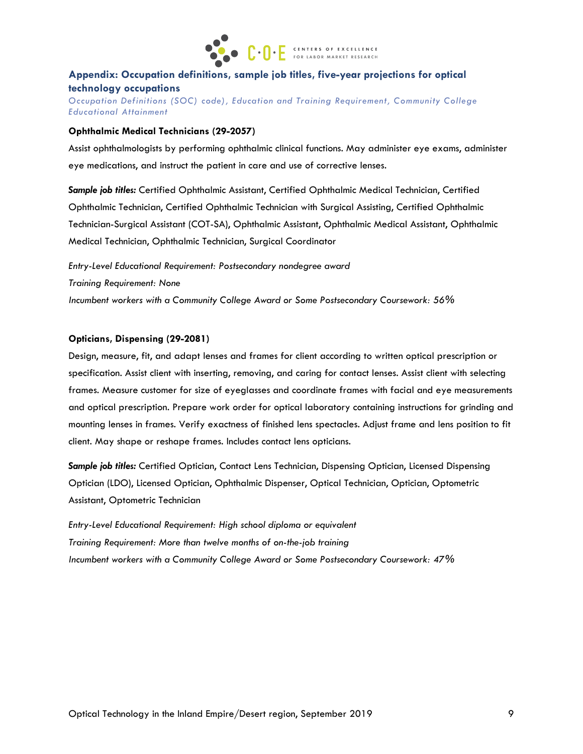

## **Appendix: Occupation definitions, sample job titles, five-year projections for optical technology occupations**

*Occupation Definitions (SOC) code), Education and Training Requirement, Community College Educational Attainment*

#### **Ophthalmic Medical Technicians (29-2057)**

Assist ophthalmologists by performing ophthalmic clinical functions. May administer eye exams, administer eye medications, and instruct the patient in care and use of corrective lenses.

*Sample job titles:* Certified Ophthalmic Assistant, Certified Ophthalmic Medical Technician, Certified Ophthalmic Technician, Certified Ophthalmic Technician with Surgical Assisting, Certified Ophthalmic Technician-Surgical Assistant (COT-SA), Ophthalmic Assistant, Ophthalmic Medical Assistant, Ophthalmic Medical Technician, Ophthalmic Technician, Surgical Coordinator

*Entry-Level Educational Requirement: Postsecondary nondegree award Training Requirement: None Incumbent workers with a Community College Award or Some Postsecondary Coursework: 56%*

#### **Opticians, Dispensing (29-2081)**

Design, measure, fit, and adapt lenses and frames for client according to written optical prescription or specification. Assist client with inserting, removing, and caring for contact lenses. Assist client with selecting frames. Measure customer for size of eyeglasses and coordinate frames with facial and eye measurements and optical prescription. Prepare work order for optical laboratory containing instructions for grinding and mounting lenses in frames. Verify exactness of finished lens spectacles. Adjust frame and lens position to fit client. May shape or reshape frames. Includes contact lens opticians.

*Sample job titles:* Certified Optician, Contact Lens Technician, Dispensing Optician, Licensed Dispensing Optician (LDO), Licensed Optician, Ophthalmic Dispenser, Optical Technician, Optician, Optometric Assistant, Optometric Technician

*Entry-Level Educational Requirement: High school diploma or equivalent Training Requirement: More than twelve months of on-the-job training Incumbent workers with a Community College Award or Some Postsecondary Coursework: 47%*